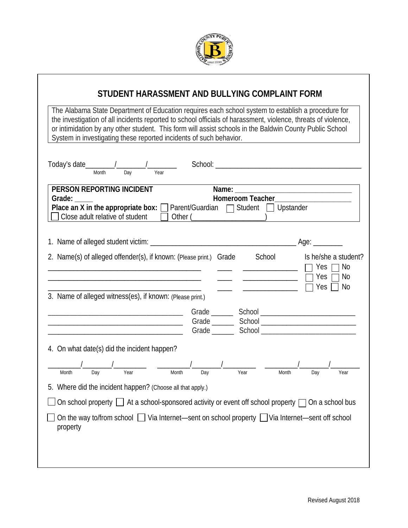

## **STUDENT HARASSMENT AND BULLYING COMPLAINT FORM**

The Alabama State Department of Education requires each school system to establish a procedure for the investigation of all incidents reported to school officials of harassment, violence, threats of violence, or intimidation by any other student. This form will assist schools in the Baldwin County Public School System in investigating these reported incidents of such behavior.

| Today's date 1<br>Day<br>Year<br><b>Month</b>                                                                                                                                                                                                                                                                                                                                                                                                                                                                                                                                                                                                                                                                                                                                                                                                                                                                                                                         |
|-----------------------------------------------------------------------------------------------------------------------------------------------------------------------------------------------------------------------------------------------------------------------------------------------------------------------------------------------------------------------------------------------------------------------------------------------------------------------------------------------------------------------------------------------------------------------------------------------------------------------------------------------------------------------------------------------------------------------------------------------------------------------------------------------------------------------------------------------------------------------------------------------------------------------------------------------------------------------|
| <b>PERSON REPORTING INCIDENT</b><br>Homeroom Teacher_____________________<br>Grade:<br><b>Place an X in the appropriate box:</b> $\Box$ Parent/Guardian $\Box$ Student $\Box$ Upstander<br>Close adult relative of student                                                                                                                                                                                                                                                                                                                                                                                                                                                                                                                                                                                                                                                                                                                                            |
|                                                                                                                                                                                                                                                                                                                                                                                                                                                                                                                                                                                                                                                                                                                                                                                                                                                                                                                                                                       |
| 2. Name(s) of alleged offender(s), if known: (Please print.) Grade School<br>Is he/she a student?<br>No<br>Yes<br>$\overline{\phantom{a}}$<br>Yes<br>No<br>Yes<br>No                                                                                                                                                                                                                                                                                                                                                                                                                                                                                                                                                                                                                                                                                                                                                                                                  |
| 3. Name of alleged witness(es), if known: (Please print.)                                                                                                                                                                                                                                                                                                                                                                                                                                                                                                                                                                                                                                                                                                                                                                                                                                                                                                             |
| <u> 2000 - 2000 - 2000 - 2000 - 2000 - 2000 - 2000 - 2000 - 2000 - 2000 - 2000 - 2000 - 2000 - 2000 - 2000 - 200</u>                                                                                                                                                                                                                                                                                                                                                                                                                                                                                                                                                                                                                                                                                                                                                                                                                                                  |
| 4. On what date(s) did the incident happen?                                                                                                                                                                                                                                                                                                                                                                                                                                                                                                                                                                                                                                                                                                                                                                                                                                                                                                                           |
| $\frac{1}{\sqrt{1 + \frac{1}{\sqrt{1 + \frac{1}{\sqrt{1 + \frac{1}{\sqrt{1 + \frac{1}{\sqrt{1 + \frac{1}{\sqrt{1 + \frac{1}{\sqrt{1 + \frac{1}{\sqrt{1 + \frac{1}{\sqrt{1 + \frac{1}{\sqrt{1 + \frac{1}{\sqrt{1 + \frac{1}{\sqrt{1 + \frac{1}{\sqrt{1 + \frac{1}{\sqrt{1 + \frac{1}{\sqrt{1 + \frac{1}{\sqrt{1 + \frac{1}{\sqrt{1 + \frac{1}{\sqrt{1 + \frac{1}{\sqrt{1 + \frac{1}{\sqrt{1 + \frac{1}{\sqrt{1 + \frac{1}{\sqrt{1 +$<br>$\frac{1}{\sqrt{1-\frac{1}{\sqrt{1-\frac{1}{\sqrt{1-\frac{1}{\sqrt{1-\frac{1}{\sqrt{1-\frac{1}{\sqrt{1-\frac{1}{\sqrt{1-\frac{1}{\sqrt{1-\frac{1}{\sqrt{1-\frac{1}{\sqrt{1-\frac{1}{\sqrt{1-\frac{1}{\sqrt{1-\frac{1}{\sqrt{1-\frac{1}{\sqrt{1-\frac{1}{\sqrt{1-\frac{1}{\sqrt{1-\frac{1}{\sqrt{1-\frac{1}{\sqrt{1-\frac{1}{\sqrt{1-\frac{1}{\sqrt{1-\frac{1}{\sqrt{1-\frac{1}{\sqrt{1-\frac{1}{\sqrt{1-\frac{1}{\sqrt{1-\frac{1$<br>Month<br>Dav<br>Year<br>Day<br>5. Where did the incident happen? (Choose all that apply.) |
| On school property $\Box$ At a school-sponsored activity or event off school property $\Box$ On a school bus                                                                                                                                                                                                                                                                                                                                                                                                                                                                                                                                                                                                                                                                                                                                                                                                                                                          |
| On the way to/from school $\Box$ Via Internet—sent on school property $\Box$ Via Internet—sent off school<br>property                                                                                                                                                                                                                                                                                                                                                                                                                                                                                                                                                                                                                                                                                                                                                                                                                                                 |
|                                                                                                                                                                                                                                                                                                                                                                                                                                                                                                                                                                                                                                                                                                                                                                                                                                                                                                                                                                       |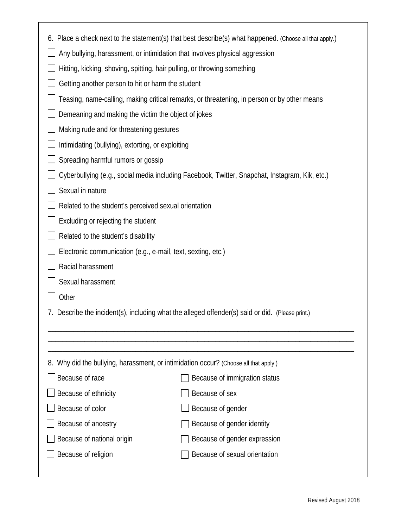| 6. Place a check next to the statement(s) that best describe(s) what happened. (Choose all that apply.) |                               |  |  |  |
|---------------------------------------------------------------------------------------------------------|-------------------------------|--|--|--|
| Any bullying, harassment, or intimidation that involves physical aggression                             |                               |  |  |  |
| Hitting, kicking, shoving, spitting, hair pulling, or throwing something                                |                               |  |  |  |
| Getting another person to hit or harm the student                                                       |                               |  |  |  |
| Teasing, name-calling, making critical remarks, or threatening, in person or by other means             |                               |  |  |  |
| Demeaning and making the victim the object of jokes                                                     |                               |  |  |  |
| Making rude and /or threatening gestures                                                                |                               |  |  |  |
| Intimidating (bullying), extorting, or exploiting                                                       |                               |  |  |  |
| Spreading harmful rumors or gossip                                                                      |                               |  |  |  |
| Cyberbullying (e.g., social media including Facebook, Twitter, Snapchat, Instagram, Kik, etc.)          |                               |  |  |  |
| Sexual in nature                                                                                        |                               |  |  |  |
| Related to the student's perceived sexual orientation                                                   |                               |  |  |  |
| Excluding or rejecting the student                                                                      |                               |  |  |  |
| Related to the student's disability                                                                     |                               |  |  |  |
| Electronic communication (e.g., e-mail, text, sexting, etc.)                                            |                               |  |  |  |
| Racial harassment                                                                                       |                               |  |  |  |
| Sexual harassment                                                                                       |                               |  |  |  |
| Other                                                                                                   |                               |  |  |  |
| 7. Describe the incident(s), including what the alleged offender(s) said or did. (Please print.)        |                               |  |  |  |
|                                                                                                         |                               |  |  |  |
|                                                                                                         |                               |  |  |  |
| 8. Why did the bullying, harassment, or intimidation occur? (Choose all that apply.)                    |                               |  |  |  |
| Because of race                                                                                         | Because of immigration status |  |  |  |
| Because of ethnicity                                                                                    | Because of sex                |  |  |  |
| Because of color                                                                                        | Because of gender             |  |  |  |
| Because of ancestry                                                                                     | Because of gender identity    |  |  |  |
| Because of national origin                                                                              | Because of gender expression  |  |  |  |
| Because of religion                                                                                     | Because of sexual orientation |  |  |  |
|                                                                                                         |                               |  |  |  |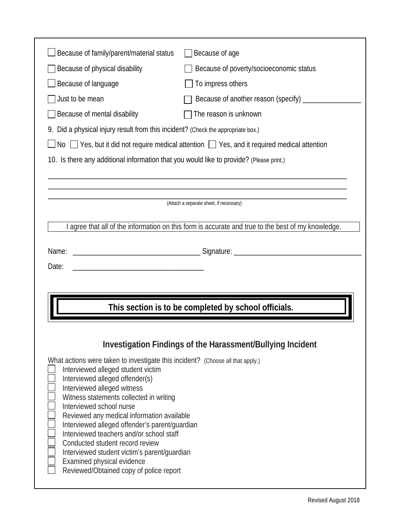| Because of family/parent/material status                                                                     | Because of age                                                                                     |  |  |  |  |
|--------------------------------------------------------------------------------------------------------------|----------------------------------------------------------------------------------------------------|--|--|--|--|
| Because of physical disability                                                                               | Because of poverty/socioeconomic status                                                            |  |  |  |  |
| Because of language                                                                                          | To impress others                                                                                  |  |  |  |  |
| Just to be mean                                                                                              | Because of another reason (specify) ___________                                                    |  |  |  |  |
| Because of mental disability                                                                                 | The reason is unknown                                                                              |  |  |  |  |
| 9. Did a physical injury result from this incident? (Check the appropriate box.)                             |                                                                                                    |  |  |  |  |
| $\Box$ No $\Box$ Yes, but it did not require medical attention $\Box$ Yes, and it required medical attention |                                                                                                    |  |  |  |  |
| 10. Is there any additional information that you would like to provide? (Please print.)                      |                                                                                                    |  |  |  |  |
|                                                                                                              |                                                                                                    |  |  |  |  |
|                                                                                                              |                                                                                                    |  |  |  |  |
|                                                                                                              | (Attach a separate sheet, if necessary)                                                            |  |  |  |  |
|                                                                                                              | I agree that all of the information on this form is accurate and true to the best of my knowledge. |  |  |  |  |
|                                                                                                              |                                                                                                    |  |  |  |  |
| Name:                                                                                                        |                                                                                                    |  |  |  |  |
| Date:                                                                                                        |                                                                                                    |  |  |  |  |
|                                                                                                              |                                                                                                    |  |  |  |  |
|                                                                                                              |                                                                                                    |  |  |  |  |
|                                                                                                              |                                                                                                    |  |  |  |  |
|                                                                                                              | This section is to be completed by school officials.                                               |  |  |  |  |
|                                                                                                              |                                                                                                    |  |  |  |  |
|                                                                                                              | Investigation Findings of the Harassment/Bullying Incident                                         |  |  |  |  |

٦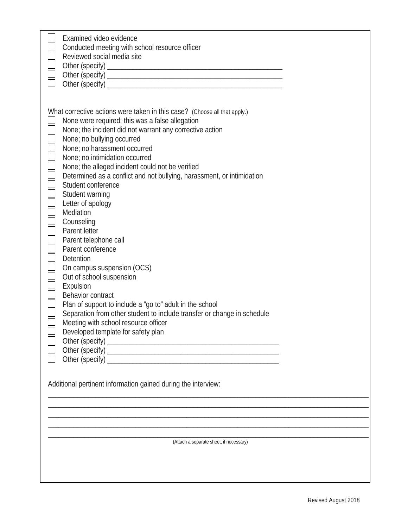| Examined video evidence<br>Conducted meeting with school resource officer<br>Reviewed social media site                                                                                                                                                                                                                                                                                                                                                                                                                                                                                                                                                                                                                                                                                                                                                                                                                                                                                      |
|----------------------------------------------------------------------------------------------------------------------------------------------------------------------------------------------------------------------------------------------------------------------------------------------------------------------------------------------------------------------------------------------------------------------------------------------------------------------------------------------------------------------------------------------------------------------------------------------------------------------------------------------------------------------------------------------------------------------------------------------------------------------------------------------------------------------------------------------------------------------------------------------------------------------------------------------------------------------------------------------|
| What corrective actions were taken in this case? (Choose all that apply.)<br>None were required; this was a false allegation<br>None; the incident did not warrant any corrective action<br>None; no bullying occurred<br>None; no harassment occurred<br>None; no intimidation occurred<br>None; the alleged incident could not be verified<br>Determined as a conflict and not bullying, harassment, or intimidation<br>Student conference<br>Student warning<br>Letter of apology<br>$\Box$<br>Mediation<br>Counseling<br>Ē<br>Parent letter<br>Parent telephone call<br>Parent conference<br>Detention<br>On campus suspension (OCS)<br>Out of school suspension<br>Expulsion<br>Behavior contract<br>Plan of support to include a "go to" adult in the school<br>Separation from other student to include transfer or change in schedule<br>Meeting with school resource officer<br>Developed template for safety plan<br>Additional pertinent information gained during the interview: |
|                                                                                                                                                                                                                                                                                                                                                                                                                                                                                                                                                                                                                                                                                                                                                                                                                                                                                                                                                                                              |
|                                                                                                                                                                                                                                                                                                                                                                                                                                                                                                                                                                                                                                                                                                                                                                                                                                                                                                                                                                                              |
| (Attach a separate sheet, if necessary)                                                                                                                                                                                                                                                                                                                                                                                                                                                                                                                                                                                                                                                                                                                                                                                                                                                                                                                                                      |
|                                                                                                                                                                                                                                                                                                                                                                                                                                                                                                                                                                                                                                                                                                                                                                                                                                                                                                                                                                                              |